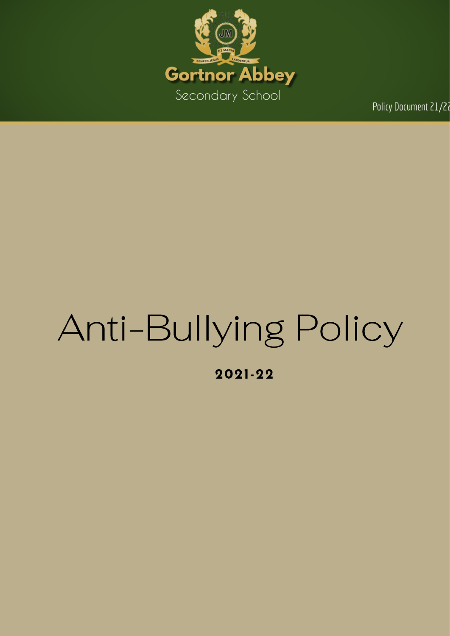

Policy Document 21/27

# Anti-Bullying Policy

2021-22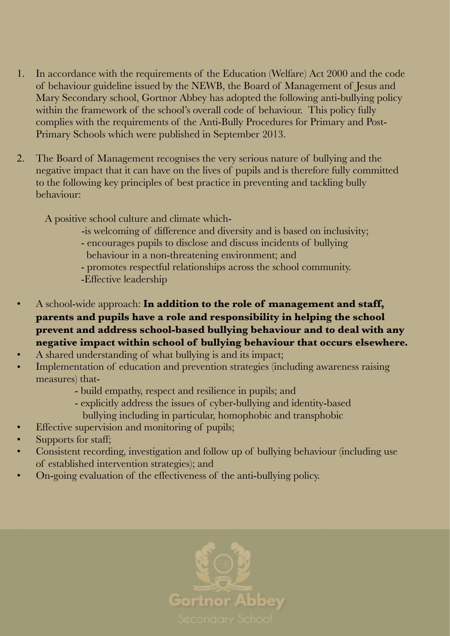- 1. In accordance with the requirements of the Education (Welfare) Act 2000 and the code of behaviour guideline issued by the NEWB, the Board of Management of Jesus and Mary Secondary school, Gortnor Abbey has adopted the following anti-bullying policy within the framework of the school's overall code of behaviour. This policy fully complies with the requirements of the Anti-Bully Procedures for Primary and Post-Primary Schools which were published in September 2013.
- 2. The Board of Management recognises the very serious nature of bullying and the negative impact that it can have on the lives of pupils and is therefore fully committed to the following key principles of best practice in preventing and tackling bully behaviour:

A positive school culture and climate which-

- -is welcoming of difference and diversity and is based on inclusivity;
- encourages pupils to disclose and discuss incidents of bullying behaviour in a non-threatening environment; and
- promotes respectful relationships across the school community.
- -Effective leadership
- A school-wide approach: **In addition to the role of management and staff, parents and pupils have a role and responsibility in helping the school prevent and address school-based bullying behaviour and to deal with any negative impact within school of bullying behaviour that occurs elsewhere.**
- A shared understanding of what bullying is and its impact;
- Implementation of education and prevention strategies (including awareness raising measures) that-
	- build empathy, respect and resilience in pupils; and
	- explicitly address the issues of cyber-bullying and identity-based bullying including in particular, homophobic and transphobic
- Effective supervision and monitoring of pupils;
- Supports for staff;
- Consistent recording, investigation and follow up of bullying behaviour (including use of established intervention strategies); and
- On-going evaluation of the effectiveness of the anti-bullying policy.

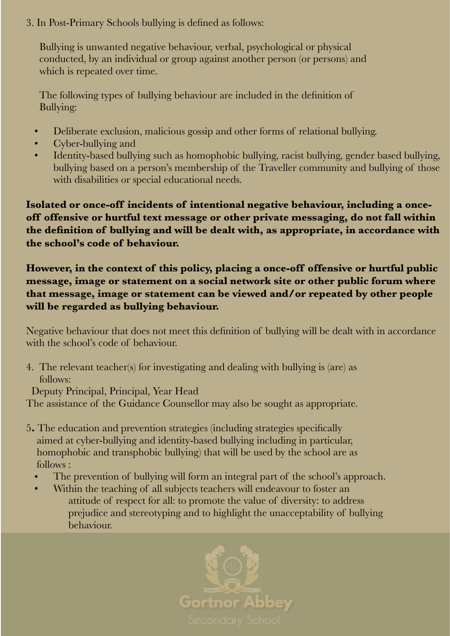3. In Post-Primary Schools bullying is defined as follows:

 Bullying is unwanted negative behaviour, verbal, psychological or physical conducted, by an individual or group against another person (or persons) and which is repeated over time.

 The following types of bullying behaviour are included in the definition of Bullying:

- Deliberate exclusion, malicious gossip and other forms of relational bullying.
- Cyber-bullying and
- Identity-based bullying such as homophobic bullying, racist bullying, gender based bullying, bullying based on a person's membership of the Traveller community and bullying of those with disabilities or special educational needs.

**Isolated or once-off incidents of intentional negative behaviour, including a onceoff offensive or hurtful text message or other private messaging, do not fall within the definition of bullying and will be dealt with, as appropriate, in accordance with the school's code of behaviour.**

**However, in the context of this policy, placing a once-off offensive or hurtful public message, image or statement on a social network site or other public forum where that message, image or statement can be viewed and/or repeated by other people will be regarded as bullying behaviour.**

Negative behaviour that does not meet this definition of bullying will be dealt with in accordance with the school's code of behaviour.

4. The relevant teacher(s) for investigating and dealing with bullying is (are) as follows:

Deputy Principal, Principal, Year Head

The assistance of the Guidance Counsellor may also be sought as appropriate.

- 5**.** The education and prevention strategies (including strategies specifically aimed at cyber-bullying and identity-based bullying including in particular, homophobic and transphobic bullying) that will be used by the school are as follows :
	- The prevention of bullying will form an integral part of the school's approach.
	- Within the teaching of all subjects teachers will endeavour to foster an attitude of respect for all: to promote the value of diversity: to address prejudice and stereotyping and to highlight the unacceptability of bullying behaviour.

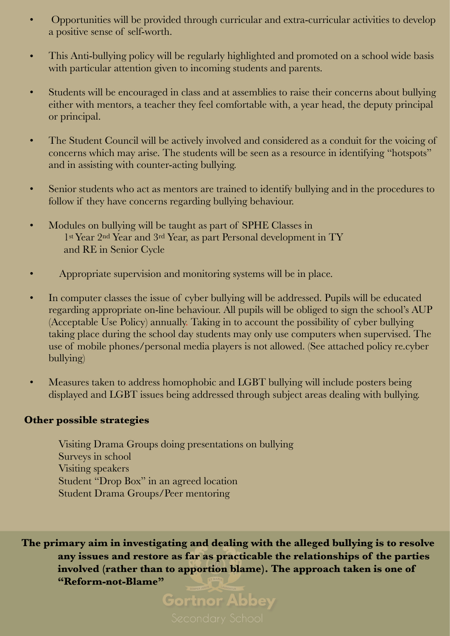- Opportunities will be provided through curricular and extra-curricular activities to develop a positive sense of self-worth.
- This Anti-bullying policy will be regularly highlighted and promoted on a school wide basis with particular attention given to incoming students and parents.
- Students will be encouraged in class and at assemblies to raise their concerns about bullying either with mentors, a teacher they feel comfortable with, a year head, the deputy principal or principal.
- The Student Council will be actively involved and considered as a conduit for the voicing of concerns which may arise. The students will be seen as a resource in identifying "hotspots" and in assisting with counter-acting bullying.
- Senior students who act as mentors are trained to identify bullying and in the procedures to follow if they have concerns regarding bullying behaviour.
- Modules on bullying will be taught as part of SPHE Classes in 1st Year 2nd Year and 3rd Year, as part Personal development in TY and RE in Senior Cycle
- Appropriate supervision and monitoring systems will be in place.
- In computer classes the issue of cyber bullying will be addressed. Pupils will be educated regarding appropriate on-line behaviour. All pupils will be obliged to sign the school's AUP (Acceptable Use Policy) annually. Taking in to account the possibility of cyber bullying taking place during the school day students may only use computers when supervised. The use of mobile phones/personal media players is not allowed. (See attached policy re.cyber bullying)
- Measures taken to address homophobic and LGBT bullying will include posters being displayed and LGBT issues being addressed through subject areas dealing with bullying.

#### **Other possible strategies**

 Visiting Drama Groups doing presentations on bullying Surveys in school Visiting speakers Student "Drop Box" in an agreed location Student Drama Groups/Peer mentoring

**The primary aim in investigating and dealing with the alleged bullying is to resolve any issues and restore as far as practicable the relationships of the parties involved (rather than to apportion blame). The approach taken is one of "Reform-not-Blame"** 

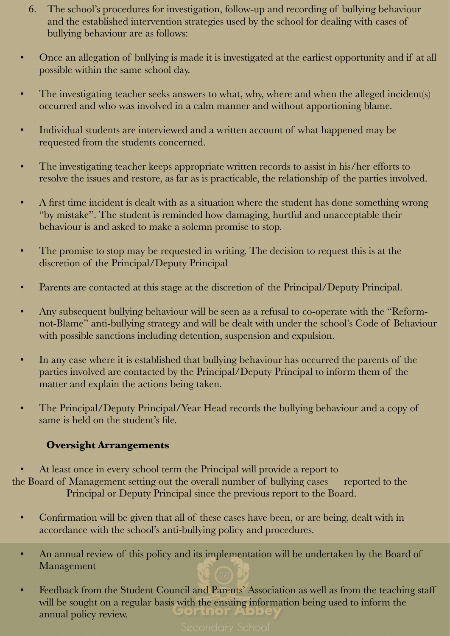- 6. The school's procedures for investigation, follow-up and recording of bullying behaviour and the established intervention strategies used by the school for dealing with cases of bullying behaviour are as follows:
- Once an allegation of bullying is made it is investigated at the earliest opportunity and if at all possible within the same school day.
- The investigating teacher seeks answers to what, why, where and when the alleged incident(s) occurred and who was involved in a calm manner and without apportioning blame.
- Individual students are interviewed and a written account of what happened may be requested from the students concerned.
- The investigating teacher keeps appropriate written records to assist in his/her efforts to resolve the issues and restore, as far as is practicable, the relationship of the parties involved.
- A first time incident is dealt with as a situation where the student has done something wrong "by mistake". The student is reminded how damaging, hurtful and unacceptable their behaviour is and asked to make a solemn promise to stop.
- The promise to stop may be requested in writing. The decision to request this is at the discretion of the Principal/Deputy Principal
- Parents are contacted at this stage at the discretion of the Principal/Deputy Principal.
- Any subsequent bullying behaviour will be seen as a refusal to co-operate with the "Reformnot-Blame" anti-bullying strategy and will be dealt with under the school's Code of Behaviour with possible sanctions including detention, suspension and expulsion.
- In any case where it is established that bullying behaviour has occurred the parents of the parties involved are contacted by the Principal/Deputy Principal to inform them of the matter and explain the actions being taken.
- The Principal/Deputy Principal/Year Head records the bullying behaviour and a copy of same is held on the student's file.

# **Oversight Arrangements**

• At least once in every school term the Principal will provide a report to the Board of Management setting out the overall number of bullying cases reported to the Principal or Deputy Principal since the previous report to the Board.

- Confirmation will be given that all of these cases have been, or are being, dealt with in accordance with the school's anti-bullying policy and procedures.
- An annual review of this policy and its implementation will be undertaken by the Board of Management
- Feedback from the Student Council and Parents' Association as well as from the teaching staff will be sought on a regular basis with the ensuing information being used to inform the brunor A annual policy review.